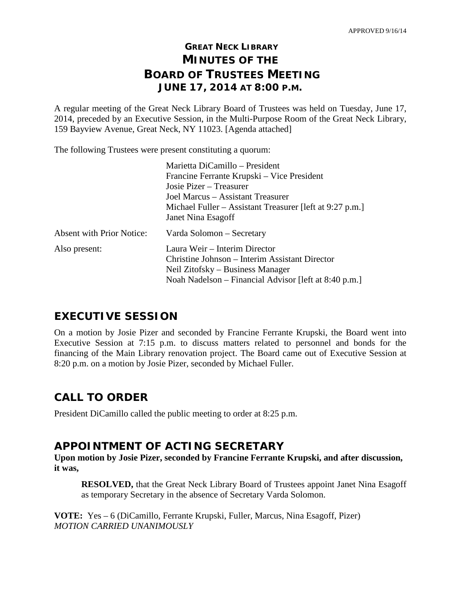# **GREAT NECK LIBRARY MINUTES OF THE BOARD OF TRUSTEES MEETING JUNE 17, 2014 AT 8:00 P.M.**

A regular meeting of the Great Neck Library Board of Trustees was held on Tuesday, June 17, 2014, preceded by an Executive Session, in the Multi-Purpose Room of the Great Neck Library, 159 Bayview Avenue, Great Neck, NY 11023. [Agenda attached]

The following Trustees were present constituting a quorum:

| Marietta DiCamillo - President                           |
|----------------------------------------------------------|
| Francine Ferrante Krupski – Vice President               |
| Josie Pizer – Treasurer                                  |
| Joel Marcus – Assistant Treasurer                        |
| Michael Fuller – Assistant Treasurer [left at 9:27 p.m.] |
| Janet Nina Esagoff                                       |
| Varda Solomon – Secretary                                |
| Laura Weir – Interim Director                            |
| Christine Johnson – Interim Assistant Director           |
| Neil Zitofsky – Business Manager                         |
|                                                          |
|                                                          |

# **EXECUTIVE SESSION**

On a motion by Josie Pizer and seconded by Francine Ferrante Krupski, the Board went into Executive Session at 7:15 p.m. to discuss matters related to personnel and bonds for the financing of the Main Library renovation project. The Board came out of Executive Session at 8:20 p.m. on a motion by Josie Pizer, seconded by Michael Fuller.

# **CALL TO ORDER**

President DiCamillo called the public meeting to order at 8:25 p.m.

## **APPOINTMENT OF ACTING SECRETARY**

**Upon motion by Josie Pizer, seconded by Francine Ferrante Krupski, and after discussion, it was,**

**RESOLVED,** that the Great Neck Library Board of Trustees appoint Janet Nina Esagoff as temporary Secretary in the absence of Secretary Varda Solomon.

**VOTE:** Yes – 6 (DiCamillo, Ferrante Krupski, Fuller, Marcus, Nina Esagoff, Pizer) *MOTION CARRIED UNANIMOUSLY*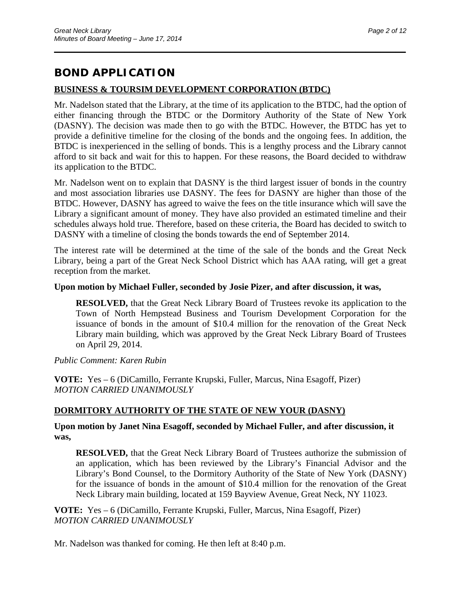# **BOND APPLICATION**

### **BUSINESS & TOURSIM DEVELOPMENT CORPORATION (BTDC)**

Mr. Nadelson stated that the Library, at the time of its application to the BTDC, had the option of either financing through the BTDC or the Dormitory Authority of the State of New York (DASNY). The decision was made then to go with the BTDC. However, the BTDC has yet to provide a definitive timeline for the closing of the bonds and the ongoing fees. In addition, the BTDC is inexperienced in the selling of bonds. This is a lengthy process and the Library cannot afford to sit back and wait for this to happen. For these reasons, the Board decided to withdraw its application to the BTDC.

\_\_\_\_\_\_\_\_\_\_\_\_\_\_\_\_\_\_\_\_\_\_\_\_\_\_\_\_\_\_\_\_\_\_\_\_\_\_\_\_\_\_\_\_\_\_\_\_\_\_\_\_\_\_\_\_\_\_\_\_\_\_\_\_\_\_\_\_\_\_

Mr. Nadelson went on to explain that DASNY is the third largest issuer of bonds in the country and most association libraries use DASNY. The fees for DASNY are higher than those of the BTDC. However, DASNY has agreed to waive the fees on the title insurance which will save the Library a significant amount of money. They have also provided an estimated timeline and their schedules always hold true. Therefore, based on these criteria, the Board has decided to switch to DASNY with a timeline of closing the bonds towards the end of September 2014.

The interest rate will be determined at the time of the sale of the bonds and the Great Neck Library, being a part of the Great Neck School District which has AAA rating, will get a great reception from the market.

### **Upon motion by Michael Fuller, seconded by Josie Pizer, and after discussion, it was,**

**RESOLVED,** that the Great Neck Library Board of Trustees revoke its application to the Town of North Hempstead Business and Tourism Development Corporation for the issuance of bonds in the amount of \$10.4 million for the renovation of the Great Neck Library main building, which was approved by the Great Neck Library Board of Trustees on April 29, 2014.

### *Public Comment: Karen Rubin*

**VOTE:** Yes – 6 (DiCamillo, Ferrante Krupski, Fuller, Marcus, Nina Esagoff, Pizer) *MOTION CARRIED UNANIMOUSLY* 

### **DORMITORY AUTHORITY OF THE STATE OF NEW YOUR (DASNY)**

**Upon motion by Janet Nina Esagoff, seconded by Michael Fuller, and after discussion, it was,**

**RESOLVED,** that the Great Neck Library Board of Trustees authorize the submission of an application, which has been reviewed by the Library's Financial Advisor and the Library's Bond Counsel, to the Dormitory Authority of the State of New York (DASNY) for the issuance of bonds in the amount of \$10.4 million for the renovation of the Great Neck Library main building, located at 159 Bayview Avenue, Great Neck, NY 11023.

**VOTE:** Yes – 6 (DiCamillo, Ferrante Krupski, Fuller, Marcus, Nina Esagoff, Pizer) *MOTION CARRIED UNANIMOUSLY* 

Mr. Nadelson was thanked for coming. He then left at 8:40 p.m.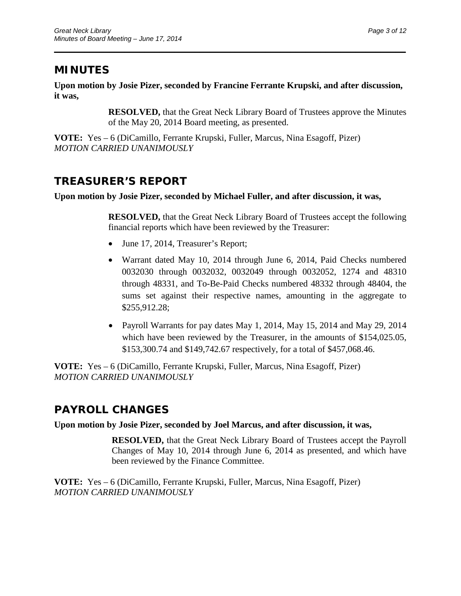# **MINUTES**

**Upon motion by Josie Pizer, seconded by Francine Ferrante Krupski, and after discussion, it was,**

\_\_\_\_\_\_\_\_\_\_\_\_\_\_\_\_\_\_\_\_\_\_\_\_\_\_\_\_\_\_\_\_\_\_\_\_\_\_\_\_\_\_\_\_\_\_\_\_\_\_\_\_\_\_\_\_\_\_\_\_\_\_\_\_\_\_\_\_\_\_

**RESOLVED,** that the Great Neck Library Board of Trustees approve the Minutes of the May 20, 2014 Board meeting, as presented.

**VOTE:** Yes – 6 (DiCamillo, Ferrante Krupski, Fuller, Marcus, Nina Esagoff, Pizer) *MOTION CARRIED UNANIMOUSLY* 

# **TREASURER'S REPORT**

### **Upon motion by Josie Pizer, seconded by Michael Fuller, and after discussion, it was,**

**RESOLVED,** that the Great Neck Library Board of Trustees accept the following financial reports which have been reviewed by the Treasurer:

- June 17, 2014, Treasurer's Report;
- Warrant dated May 10, 2014 through June 6, 2014, Paid Checks numbered 0032030 through 0032032, 0032049 through 0032052, 1274 and 48310 through 48331, and To-Be-Paid Checks numbered 48332 through 48404, the sums set against their respective names, amounting in the aggregate to \$255,912.28;
- Payroll Warrants for pay dates May 1, 2014, May 15, 2014 and May 29, 2014 which have been reviewed by the Treasurer, in the amounts of \$154,025.05, \$153,300.74 and \$149,742.67 respectively, for a total of \$457,068.46.

**VOTE:** Yes – 6 (DiCamillo, Ferrante Krupski, Fuller, Marcus, Nina Esagoff, Pizer) *MOTION CARRIED UNANIMOUSLY*

# **PAYROLL CHANGES**

### **Upon motion by Josie Pizer, seconded by Joel Marcus, and after discussion, it was,**

**RESOLVED,** that the Great Neck Library Board of Trustees accept the Payroll Changes of May 10, 2014 through June 6, 2014 as presented, and which have been reviewed by the Finance Committee.

**VOTE:** Yes – 6 (DiCamillo, Ferrante Krupski, Fuller, Marcus, Nina Esagoff, Pizer) *MOTION CARRIED UNANIMOUSLY*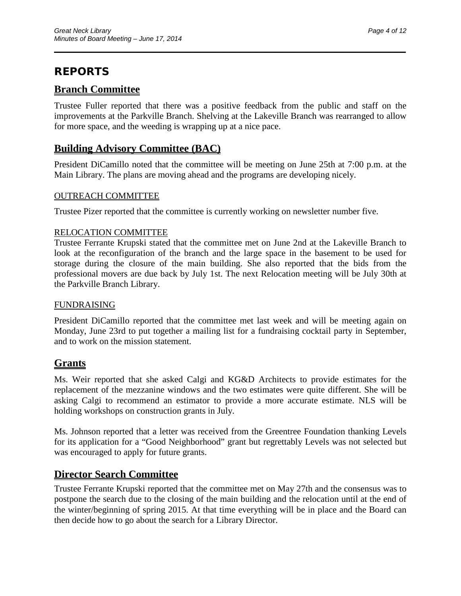# **REPORTS**

## **Branch Committee**

Trustee Fuller reported that there was a positive feedback from the public and staff on the improvements at the Parkville Branch. Shelving at the Lakeville Branch was rearranged to allow for more space, and the weeding is wrapping up at a nice pace.

\_\_\_\_\_\_\_\_\_\_\_\_\_\_\_\_\_\_\_\_\_\_\_\_\_\_\_\_\_\_\_\_\_\_\_\_\_\_\_\_\_\_\_\_\_\_\_\_\_\_\_\_\_\_\_\_\_\_\_\_\_\_\_\_\_\_\_\_\_\_

## **Building Advisory Committee (BAC)**

President DiCamillo noted that the committee will be meeting on June 25th at 7:00 p.m. at the Main Library. The plans are moving ahead and the programs are developing nicely.

### OUTREACH COMMITTEE

Trustee Pizer reported that the committee is currently working on newsletter number five.

## RELOCATION COMMITTEE

Trustee Ferrante Krupski stated that the committee met on June 2nd at the Lakeville Branch to look at the reconfiguration of the branch and the large space in the basement to be used for storage during the closure of the main building. She also reported that the bids from the professional movers are due back by July 1st. The next Relocation meeting will be July 30th at the Parkville Branch Library.

### FUNDRAISING

President DiCamillo reported that the committee met last week and will be meeting again on Monday, June 23rd to put together a mailing list for a fundraising cocktail party in September, and to work on the mission statement.

## **Grants**

Ms. Weir reported that she asked Calgi and KG&D Architects to provide estimates for the replacement of the mezzanine windows and the two estimates were quite different. She will be asking Calgi to recommend an estimator to provide a more accurate estimate. NLS will be holding workshops on construction grants in July.

Ms. Johnson reported that a letter was received from the Greentree Foundation thanking Levels for its application for a "Good Neighborhood" grant but regrettably Levels was not selected but was encouraged to apply for future grants.

## **Director Search Committee**

Trustee Ferrante Krupski reported that the committee met on May 27th and the consensus was to postpone the search due to the closing of the main building and the relocation until at the end of the winter/beginning of spring 2015. At that time everything will be in place and the Board can then decide how to go about the search for a Library Director.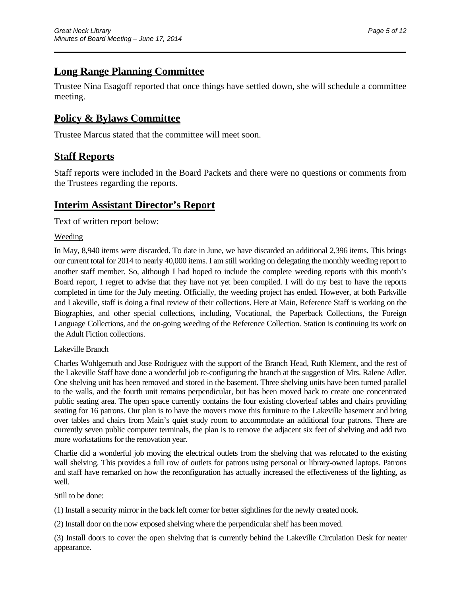# **Long Range Planning Committee**

Trustee Nina Esagoff reported that once things have settled down, she will schedule a committee meeting.

\_\_\_\_\_\_\_\_\_\_\_\_\_\_\_\_\_\_\_\_\_\_\_\_\_\_\_\_\_\_\_\_\_\_\_\_\_\_\_\_\_\_\_\_\_\_\_\_\_\_\_\_\_\_\_\_\_\_\_\_\_\_\_\_\_\_\_\_\_\_

## **Policy & Bylaws Committee**

Trustee Marcus stated that the committee will meet soon.

## **Staff Reports**

Staff reports were included in the Board Packets and there were no questions or comments from the Trustees regarding the reports.

## **Interim Assistant Director's Report**

Text of written report below:

### Weeding

In May, 8,940 items were discarded. To date in June, we have discarded an additional 2,396 items. This brings our current total for 2014 to nearly 40,000 items. I am still working on delegating the monthly weeding report to another staff member. So, although I had hoped to include the complete weeding reports with this month's Board report, I regret to advise that they have not yet been compiled. I will do my best to have the reports completed in time for the July meeting. Officially, the weeding project has ended. However, at both Parkville and Lakeville, staff is doing a final review of their collections. Here at Main, Reference Staff is working on the Biographies, and other special collections, including, Vocational, the Paperback Collections, the Foreign Language Collections, and the on-going weeding of the Reference Collection. Station is continuing its work on the Adult Fiction collections.

### Lakeville Branch

Charles Wohlgemuth and Jose Rodriguez with the support of the Branch Head, Ruth Klement, and the rest of the Lakeville Staff have done a wonderful job re-configuring the branch at the suggestion of Mrs. Ralene Adler. One shelving unit has been removed and stored in the basement. Three shelving units have been turned parallel to the walls, and the fourth unit remains perpendicular, but has been moved back to create one concentrated public seating area. The open space currently contains the four existing cloverleaf tables and chairs providing seating for 16 patrons. Our plan is to have the movers move this furniture to the Lakeville basement and bring over tables and chairs from Main's quiet study room to accommodate an additional four patrons. There are currently seven public computer terminals, the plan is to remove the adjacent six feet of shelving and add two more workstations for the renovation year.

Charlie did a wonderful job moving the electrical outlets from the shelving that was relocated to the existing wall shelving. This provides a full row of outlets for patrons using personal or library-owned laptops. Patrons and staff have remarked on how the reconfiguration has actually increased the effectiveness of the lighting, as well.

Still to be done:

(1) Install a security mirror in the back left corner for better sightlines for the newly created nook.

(2) Install door on the now exposed shelving where the perpendicular shelf has been moved.

(3) Install doors to cover the open shelving that is currently behind the Lakeville Circulation Desk for neater appearance.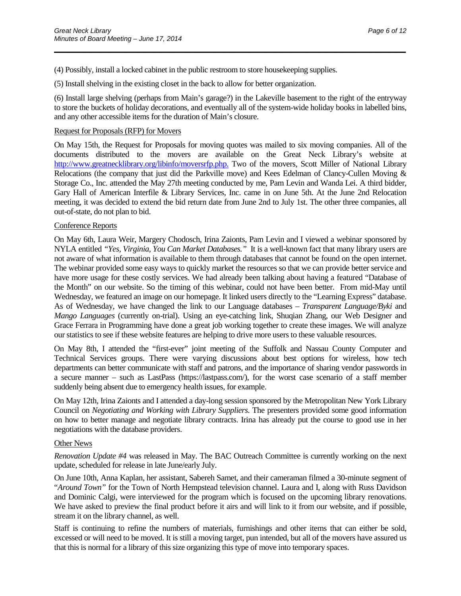(4) Possibly, install a locked cabinet in the public restroom to store housekeeping supplies.

(5) Install shelving in the existing closet in the back to allow for better organization.

(6) Install large shelving (perhaps from Main's garage?) in the Lakeville basement to the right of the entryway to store the buckets of holiday decorations, and eventually all of the system-wide holiday books in labelled bins, and any other accessible items for the duration of Main's closure.

\_\_\_\_\_\_\_\_\_\_\_\_\_\_\_\_\_\_\_\_\_\_\_\_\_\_\_\_\_\_\_\_\_\_\_\_\_\_\_\_\_\_\_\_\_\_\_\_\_\_\_\_\_\_\_\_\_\_\_\_\_\_\_\_\_\_\_\_\_\_

#### Request for Proposals (RFP) for Movers

On May 15th, the Request for Proposals for moving quotes was mailed to six moving companies. All of the documents distributed to the movers are available on the Great Neck Library's website at [http://www.greatnecklibrary.org/libinfo/moversrfp.php.](http://www.greatnecklibrary.org/libinfo/moversrfp.php) Two of the movers, Scott Miller of National Library Relocations (the company that just did the Parkville move) and Kees Edelman of Clancy-Cullen Moving & Storage Co., Inc. attended the May 27th meeting conducted by me, Pam Levin and Wanda Lei. A third bidder, Gary Hall of American Interfile & Library Services, Inc. came in on June 5th. At the June 2nd Relocation meeting, it was decided to extend the bid return date from June 2nd to July 1st. The other three companies, all out-of-state, do not plan to bid.

#### Conference Reports

On May 6th, Laura Weir, Margery Chodosch, Irina Zaionts, Pam Levin and I viewed a webinar sponsored by NYLA entitled *"Yes, Virginia, You Can Market Databases."* It is a well-known fact that many library users are not aware of what information is available to them through databases that cannot be found on the open internet. The webinar provided some easy ways to quickly market the resources so that we can provide better service and have more usage for these costly services. We had already been talking about having a featured "Database of the Month" on our website. So the timing of this webinar, could not have been better. From mid-May until Wednesday, we featured an image on our homepage. It linked users directly to the "Learning Express" database. As of Wednesday, we have changed the link to our Language databases – *Transparent Language/Byki* and *Mango Languages* (currently on-trial). Using an eye-catching link, Shuqian Zhang, our Web Designer and Grace Ferrara in Programming have done a great job working together to create these images. We will analyze our statistics to see if these website features are helping to drive more users to these valuable resources.

On May 8th, I attended the "first-ever" joint meeting of the Suffolk and Nassau County Computer and Technical Services groups. There were varying discussions about best options for wireless, how tech departments can better communicate with staff and patrons, and the importance of sharing vendor passwords in a secure manner – such as LastPass (https://lastpass.com/), for the worst case scenario of a staff member suddenly being absent due to emergency health issues, for example.

On May 12th, Irina Zaionts and I attended a day-long session sponsored by the Metropolitan New York Library Council on *Negotiating and Working with Library Suppliers.* The presenters provided some good information on how to better manage and negotiate library contracts. Irina has already put the course to good use in her negotiations with the database providers.

#### Other News

*Renovation Update #4* was released in May. The BAC Outreach Committee is currently working on the next update, scheduled for release in late June/early July.

On June 10th, Anna Kaplan, her assistant, Sabereh Samet, and their cameraman filmed a 30-minute segment of "*Around Town"* for the Town of North Hempstead television channel. Laura and I, along with Russ Davidson and Dominic Calgi, were interviewed for the program which is focused on the upcoming library renovations. We have asked to preview the final product before it airs and will link to it from our website, and if possible, stream it on the library channel, as well.

Staff is continuing to refine the numbers of materials, furnishings and other items that can either be sold, excessed or will need to be moved. It is still a moving target, pun intended, but all of the movers have assured us that this is normal for a library of this size organizing this type of move into temporary spaces.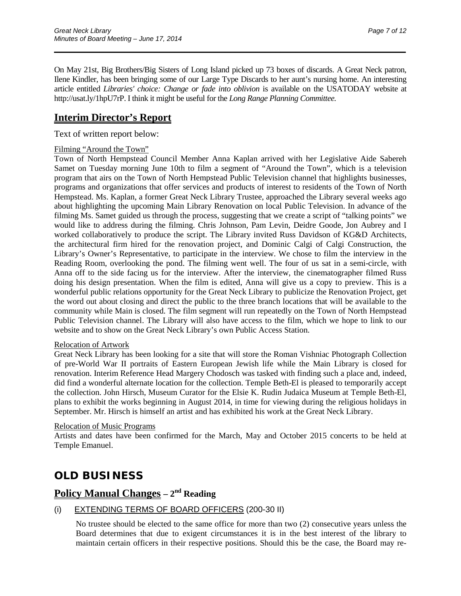On May 21st, Big Brothers/Big Sisters of Long Island picked up 73 boxes of discards. A Great Neck patron, Ilene Kindler, has been bringing some of our Large Type Discards to her aunt's nursing home. An interesting article entitled *Libraries' choice: Change or fade into oblivion* is available on the USATODAY website at [http://usat.ly/1hpU7rP.](http://usat.ly/1hpU7rP) I think it might be useful for the *Long Range Planning Committee.*

\_\_\_\_\_\_\_\_\_\_\_\_\_\_\_\_\_\_\_\_\_\_\_\_\_\_\_\_\_\_\_\_\_\_\_\_\_\_\_\_\_\_\_\_\_\_\_\_\_\_\_\_\_\_\_\_\_\_\_\_\_\_\_\_\_\_\_\_\_\_

## **Interim Director's Report**

#### Text of written report below:

#### Filming "Around the Town"

Town of North Hempstead Council Member Anna Kaplan arrived with her Legislative Aide Sabereh Samet on Tuesday morning June 10th to film a segment of "Around the Town", which is a television program that airs on the Town of North Hempstead Public Television channel that highlights businesses, programs and organizations that offer services and products of interest to residents of the Town of North Hempstead. Ms. Kaplan, a former Great Neck Library Trustee, approached the Library several weeks ago about highlighting the upcoming Main Library Renovation on local Public Television. In advance of the filming Ms. Samet guided us through the process, suggesting that we create a script of "talking points" we would like to address during the filming. Chris Johnson, Pam Levin, Deidre Goode, Jon Aubrey and I worked collaboratively to produce the script. The Library invited Russ Davidson of KG&D Architects, the architectural firm hired for the renovation project, and Dominic Calgi of Calgi Construction, the Library's Owner's Representative, to participate in the interview. We chose to film the interview in the Reading Room, overlooking the pond. The filming went well. The four of us sat in a semi-circle, with Anna off to the side facing us for the interview. After the interview, the cinematographer filmed Russ doing his design presentation. When the film is edited, Anna will give us a copy to preview. This is a wonderful public relations opportunity for the Great Neck Library to publicize the Renovation Project, get the word out about closing and direct the public to the three branch locations that will be available to the community while Main is closed. The film segment will run repeatedly on the Town of North Hempstead Public Television channel. The Library will also have access to the film, which we hope to link to our website and to show on the Great Neck Library's own Public Access Station.

#### Relocation of Artwork

Great Neck Library has been looking for a site that will store the Roman Vishniac Photograph Collection of pre-World War II portraits of Eastern European Jewish life while the Main Library is closed for renovation. Interim Reference Head Margery Chodosch was tasked with finding such a place and, indeed, did find a wonderful alternate location for the collection. Temple Beth-El is pleased to temporarily accept the collection. John Hirsch, Museum Curator for the Elsie K. Rudin Judaica Museum at Temple Beth-El, plans to exhibit the works beginning in August 2014, in time for viewing during the religious holidays in September. Mr. Hirsch is himself an artist and has exhibited his work at the Great Neck Library.

#### Relocation of Music Programs

Artists and dates have been confirmed for the March, May and October 2015 concerts to be held at Temple Emanuel.

# **OLD BUSINESS**

# **Policy Manual Changes – 2nd Reading**

### (i) EXTENDING TERMS OF BOARD OFFICERS (200-30 II)

No trustee should be elected to the same office for more than two (2) consecutive years unless the Board determines that due to exigent circumstances it is in the best interest of the library to maintain certain officers in their respective positions. Should this be the case, the Board may re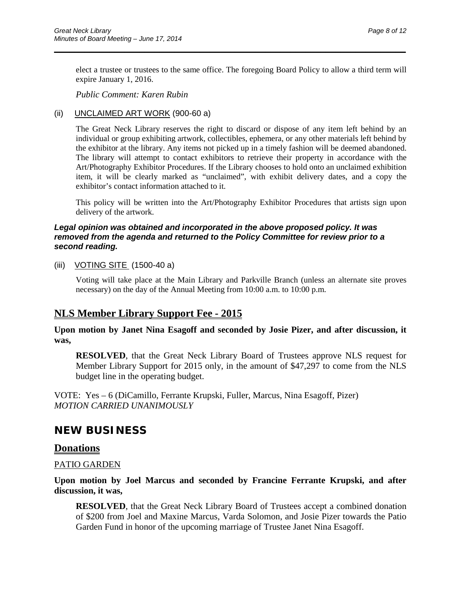elect a trustee or trustees to the same office. The foregoing Board Policy to allow a third term will expire January 1, 2016.

\_\_\_\_\_\_\_\_\_\_\_\_\_\_\_\_\_\_\_\_\_\_\_\_\_\_\_\_\_\_\_\_\_\_\_\_\_\_\_\_\_\_\_\_\_\_\_\_\_\_\_\_\_\_\_\_\_\_\_\_\_\_\_\_\_\_\_\_\_\_

*Public Comment: Karen Rubin*

### (ii) UNCLAIMED ART WORK (900-60 a)

The Great Neck Library reserves the right to discard or dispose of any item left behind by an individual or group exhibiting artwork, collectibles, ephemera, or any other materials left behind by the exhibitor at the library. Any items not picked up in a timely fashion will be deemed abandoned. The library will attempt to contact exhibitors to retrieve their property in accordance with the Art/Photography Exhibitor Procedures. If the Library chooses to hold onto an unclaimed exhibition item, it will be clearly marked as "unclaimed", with exhibit delivery dates, and a copy the exhibitor's contact information attached to it.

This policy will be written into the Art/Photography Exhibitor Procedures that artists sign upon delivery of the artwork.

#### *Legal opinion was obtained and incorporated in the above proposed policy. It was removed from the agenda and returned to the Policy Committee for review prior to a second reading.*

#### (iii) VOTING SITE (1500-40 a)

Voting will take place at the Main Library and Parkville Branch (unless an alternate site proves necessary) on the day of the Annual Meeting from 10:00 a.m. to 10:00 p.m.

## **NLS Member Library Support Fee - 2015**

**Upon motion by Janet Nina Esagoff and seconded by Josie Pizer, and after discussion, it was,**

**RESOLVED**, that the Great Neck Library Board of Trustees approve NLS request for Member Library Support for 2015 only, in the amount of \$47,297 to come from the NLS budget line in the operating budget.

VOTE: Yes – 6 (DiCamillo, Ferrante Krupski, Fuller, Marcus, Nina Esagoff, Pizer) *MOTION CARRIED UNANIMOUSLY*

## **NEW BUSINESS**

### **Donations**

### PATIO GARDEN

**Upon motion by Joel Marcus and seconded by Francine Ferrante Krupski, and after discussion, it was,**

**RESOLVED**, that the Great Neck Library Board of Trustees accept a combined donation of \$200 from Joel and Maxine Marcus, Varda Solomon, and Josie Pizer towards the Patio Garden Fund in honor of the upcoming marriage of Trustee Janet Nina Esagoff.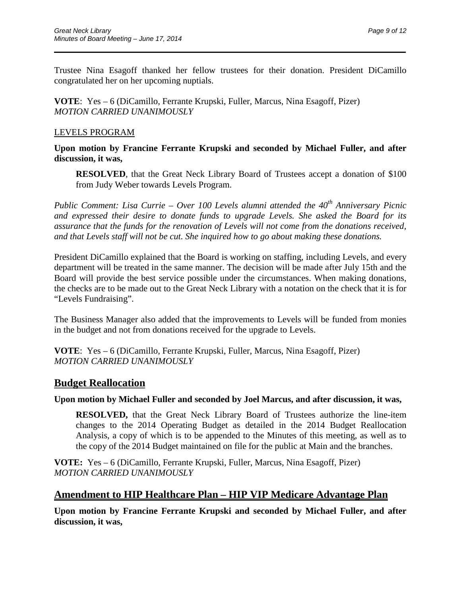Trustee Nina Esagoff thanked her fellow trustees for their donation. President DiCamillo congratulated her on her upcoming nuptials.

\_\_\_\_\_\_\_\_\_\_\_\_\_\_\_\_\_\_\_\_\_\_\_\_\_\_\_\_\_\_\_\_\_\_\_\_\_\_\_\_\_\_\_\_\_\_\_\_\_\_\_\_\_\_\_\_\_\_\_\_\_\_\_\_\_\_\_\_\_\_

**VOTE**: Yes – 6 (DiCamillo, Ferrante Krupski, Fuller, Marcus, Nina Esagoff, Pizer) *MOTION CARRIED UNANIMOUSLY*

### LEVELS PROGRAM

**Upon motion by Francine Ferrante Krupski and seconded by Michael Fuller, and after discussion, it was,**

**RESOLVED**, that the Great Neck Library Board of Trustees accept a donation of \$100 from Judy Weber towards Levels Program.

*Public Comment: Lisa Currie – Over 100 Levels alumni attended the 40th Anniversary Picnic and expressed their desire to donate funds to upgrade Levels. She asked the Board for its assurance that the funds for the renovation of Levels will not come from the donations received, and that Levels staff will not be cut. She inquired how to go about making these donations.*

President DiCamillo explained that the Board is working on staffing, including Levels, and every department will be treated in the same manner. The decision will be made after July 15th and the Board will provide the best service possible under the circumstances. When making donations, the checks are to be made out to the Great Neck Library with a notation on the check that it is for "Levels Fundraising".

The Business Manager also added that the improvements to Levels will be funded from monies in the budget and not from donations received for the upgrade to Levels.

**VOTE**: Yes – 6 (DiCamillo, Ferrante Krupski, Fuller, Marcus, Nina Esagoff, Pizer) *MOTION CARRIED UNANIMOUSLY*

## **Budget Reallocation**

**Upon motion by Michael Fuller and seconded by Joel Marcus, and after discussion, it was,**

**RESOLVED,** that the Great Neck Library Board of Trustees authorize the line-item changes to the 2014 Operating Budget as detailed in the 2014 Budget Reallocation Analysis, a copy of which is to be appended to the Minutes of this meeting, as well as to the copy of the 2014 Budget maintained on file for the public at Main and the branches.

**VOTE:** Yes – 6 (DiCamillo, Ferrante Krupski, Fuller, Marcus, Nina Esagoff, Pizer) *MOTION CARRIED UNANIMOUSLY*

## **Amendment to HIP Healthcare Plan – HIP VIP Medicare Advantage Plan**

**Upon motion by Francine Ferrante Krupski and seconded by Michael Fuller, and after discussion, it was,**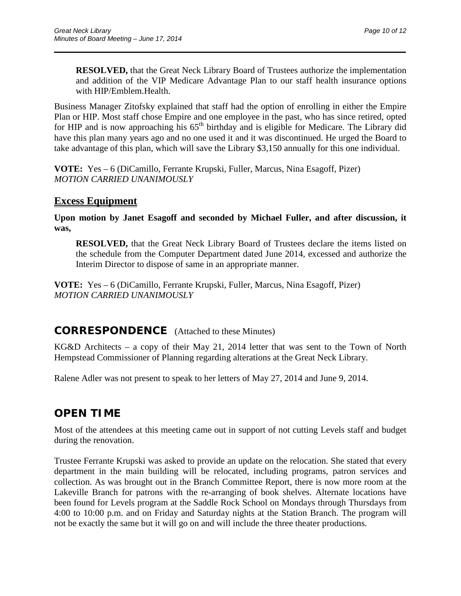**RESOLVED,** that the Great Neck Library Board of Trustees authorize the implementation and addition of the VIP Medicare Advantage Plan to our staff health insurance options with HIP/Emblem.Health.

Business Manager Zitofsky explained that staff had the option of enrolling in either the Empire Plan or HIP. Most staff chose Empire and one employee in the past, who has since retired, opted for HIP and is now approaching his  $65<sup>th</sup>$  birthday and is eligible for Medicare. The Library did have this plan many years ago and no one used it and it was discontinued. He urged the Board to take advantage of this plan, which will save the Library \$3,150 annually for this one individual.

\_\_\_\_\_\_\_\_\_\_\_\_\_\_\_\_\_\_\_\_\_\_\_\_\_\_\_\_\_\_\_\_\_\_\_\_\_\_\_\_\_\_\_\_\_\_\_\_\_\_\_\_\_\_\_\_\_\_\_\_\_\_\_\_\_\_\_\_\_\_

**VOTE:** Yes – 6 (DiCamillo, Ferrante Krupski, Fuller, Marcus, Nina Esagoff, Pizer) *MOTION CARRIED UNANIMOUSLY*

### **Excess Equipment**

**Upon motion by Janet Esagoff and seconded by Michael Fuller, and after discussion, it was,**

**RESOLVED,** that the Great Neck Library Board of Trustees declare the items listed on the schedule from the Computer Department dated June 2014, excessed and authorize the Interim Director to dispose of same in an appropriate manner.

**VOTE:** Yes – 6 (DiCamillo, Ferrante Krupski, Fuller, Marcus, Nina Esagoff, Pizer) *MOTION CARRIED UNANIMOUSLY*

## **CORRESPONDENCE** (Attached to these Minutes)

KG&D Architects – a copy of their May 21, 2014 letter that was sent to the Town of North Hempstead Commissioner of Planning regarding alterations at the Great Neck Library.

Ralene Adler was not present to speak to her letters of May 27, 2014 and June 9, 2014.

## **OPEN TIME**

Most of the attendees at this meeting came out in support of not cutting Levels staff and budget during the renovation.

Trustee Ferrante Krupski was asked to provide an update on the relocation. She stated that every department in the main building will be relocated, including programs, patron services and collection. As was brought out in the Branch Committee Report, there is now more room at the Lakeville Branch for patrons with the re-arranging of book shelves. Alternate locations have been found for Levels program at the Saddle Rock School on Mondays through Thursdays from 4:00 to 10:00 p.m. and on Friday and Saturday nights at the Station Branch. The program will not be exactly the same but it will go on and will include the three theater productions.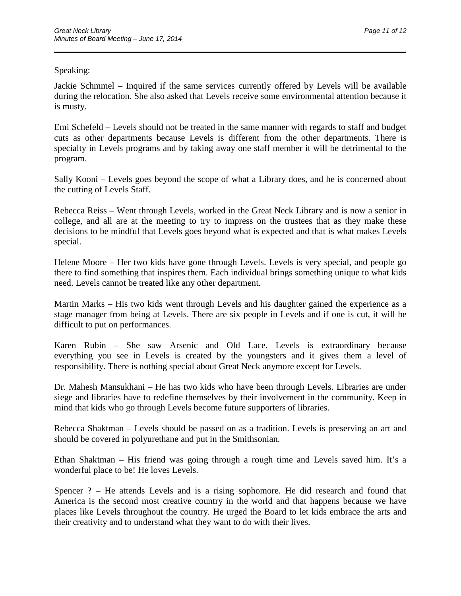### Speaking:

Jackie Schmmel – Inquired if the same services currently offered by Levels will be available during the relocation. She also asked that Levels receive some environmental attention because it is musty.

\_\_\_\_\_\_\_\_\_\_\_\_\_\_\_\_\_\_\_\_\_\_\_\_\_\_\_\_\_\_\_\_\_\_\_\_\_\_\_\_\_\_\_\_\_\_\_\_\_\_\_\_\_\_\_\_\_\_\_\_\_\_\_\_\_\_\_\_\_\_

Emi Schefeld – Levels should not be treated in the same manner with regards to staff and budget cuts as other departments because Levels is different from the other departments. There is specialty in Levels programs and by taking away one staff member it will be detrimental to the program.

Sally Kooni – Levels goes beyond the scope of what a Library does, and he is concerned about the cutting of Levels Staff.

Rebecca Reiss – Went through Levels, worked in the Great Neck Library and is now a senior in college, and all are at the meeting to try to impress on the trustees that as they make these decisions to be mindful that Levels goes beyond what is expected and that is what makes Levels special.

Helene Moore – Her two kids have gone through Levels. Levels is very special, and people go there to find something that inspires them. Each individual brings something unique to what kids need. Levels cannot be treated like any other department.

Martin Marks – His two kids went through Levels and his daughter gained the experience as a stage manager from being at Levels. There are six people in Levels and if one is cut, it will be difficult to put on performances.

Karen Rubin – She saw Arsenic and Old Lace. Levels is extraordinary because everything you see in Levels is created by the youngsters and it gives them a level of responsibility. There is nothing special about Great Neck anymore except for Levels.

Dr. Mahesh Mansukhani – He has two kids who have been through Levels. Libraries are under siege and libraries have to redefine themselves by their involvement in the community. Keep in mind that kids who go through Levels become future supporters of libraries.

Rebecca Shaktman – Levels should be passed on as a tradition. Levels is preserving an art and should be covered in polyurethane and put in the Smithsonian.

Ethan Shaktman – His friend was going through a rough time and Levels saved him. It's a wonderful place to be! He loves Levels.

Spencer ? – He attends Levels and is a rising sophomore. He did research and found that America is the second most creative country in the world and that happens because we have places like Levels throughout the country. He urged the Board to let kids embrace the arts and their creativity and to understand what they want to do with their lives.